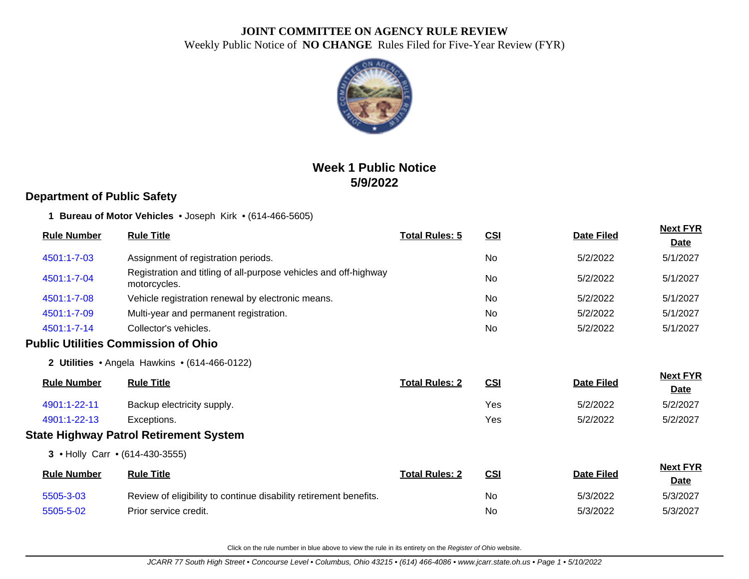

# **Week 1 Public Notice 5/9/2022**

### **Department of Public Safety**

**1 Bureau of Motor Vehicles** • Joseph Kirk • (614-466-5605)

| <b>Rule Number</b> | <b>Rule Title</b>                                                                | <b>Total Rules: 5</b> | <u>CSI</u> | <b>Date Filed</b> | <b>Next FYR</b><br><b>Date</b> |
|--------------------|----------------------------------------------------------------------------------|-----------------------|------------|-------------------|--------------------------------|
| 4501:1-7-03        | Assignment of registration periods.                                              |                       | No.        | 5/2/2022          | 5/1/2027                       |
| 4501:1-7-04        | Registration and titling of all-purpose vehicles and off-highway<br>motorcycles. |                       | No         | 5/2/2022          | 5/1/2027                       |
| 4501:1-7-08        | Vehicle registration renewal by electronic means.                                |                       | <b>No</b>  | 5/2/2022          | 5/1/2027                       |
| 4501:1-7-09        | Multi-year and permanent registration.                                           |                       | No.        | 5/2/2022          | 5/1/2027                       |
| 4501:1-7-14        | Collector's vehicles.                                                            |                       | No         | 5/2/2022          | 5/1/2027                       |
|                    | <b>Public Utilities Commission of Ohio</b>                                       |                       |            |                   |                                |
|                    | 2 Utilities • Angela Hawkins • (614-466-0122)                                    |                       |            |                   |                                |
| <b>Rule Number</b> | <b>Rule Title</b>                                                                | <b>Total Rules: 2</b> | CSI        | <b>Date Filed</b> | <b>Next FYR</b><br><b>Date</b> |
| 4901:1-22-11       | Backup electricity supply.                                                       |                       | Yes        | 5/2/2022          | 5/2/2027                       |
| 4901:1-22-13       | Exceptions.                                                                      |                       | Yes        | 5/2/2022          | 5/2/2027                       |
|                    | <b>State Highway Patrol Retirement System</b>                                    |                       |            |                   |                                |
|                    | 3 • Holly Carr • (614-430-3555)                                                  |                       |            |                   |                                |
| <b>Rule Number</b> | <b>Rule Title</b>                                                                | <b>Total Rules: 2</b> | <b>CSI</b> | <b>Date Filed</b> | <b>Next FYR</b><br><b>Date</b> |
| 5505-3-03          | Review of eligibility to continue disability retirement benefits.                |                       | No.        | 5/3/2022          | 5/3/2027                       |
| 5505-5-02          | Prior service credit.                                                            |                       | No         | 5/3/2022          | 5/3/2027                       |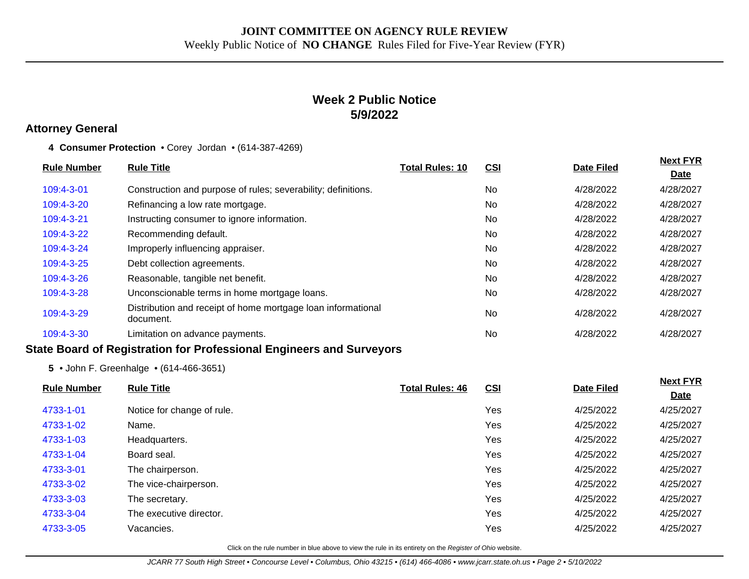## **Week 2 Public Notice 5/9/2022**

#### **Attorney General**

**4 Consumer Protection** • Corey Jordan • (614-387-4269)

| <b>Rule Title</b>                                                         | <b>Total Rules: 10</b> | <u>CSI</u> | <b>Date Filed</b> | <b>Next FYR</b><br><b>Date</b> |
|---------------------------------------------------------------------------|------------------------|------------|-------------------|--------------------------------|
| Construction and purpose of rules; severability; definitions.             |                        | No         | 4/28/2022         | 4/28/2027                      |
| Refinancing a low rate mortgage.                                          |                        | No         | 4/28/2022         | 4/28/2027                      |
| Instructing consumer to ignore information.                               |                        | No         | 4/28/2022         | 4/28/2027                      |
| Recommending default.                                                     |                        | No         | 4/28/2022         | 4/28/2027                      |
| Improperly influencing appraiser.                                         |                        | No         | 4/28/2022         | 4/28/2027                      |
| Debt collection agreements.                                               |                        | No         | 4/28/2022         | 4/28/2027                      |
| Reasonable, tangible net benefit.                                         |                        | No         | 4/28/2022         | 4/28/2027                      |
| Unconscionable terms in home mortgage loans.                              |                        | No         | 4/28/2022         | 4/28/2027                      |
| Distribution and receipt of home mortgage loan informational<br>document. |                        | <b>No</b>  | 4/28/2022         | 4/28/2027                      |
| Limitation on advance payments.                                           |                        | No         | 4/28/2022         | 4/28/2027                      |
|                                                                           |                        |            |                   |                                |

#### **State Board of Registration for Professional Engineers and Surveyors**

**5** • John F. Greenhalge • (614-466-3651)

| <b>Rule Number</b> | <b>Rule Title</b>          | <b>Total Rules: 46</b> | CSI | <b>Date Filed</b> | <b>Next FYR</b> |
|--------------------|----------------------------|------------------------|-----|-------------------|-----------------|
|                    |                            |                        |     |                   | <b>Date</b>     |
| 4733-1-01          | Notice for change of rule. |                        | Yes | 4/25/2022         | 4/25/2027       |
| 4733-1-02          | Name.                      |                        | Yes | 4/25/2022         | 4/25/2027       |
| 4733-1-03          | Headquarters.              |                        | Yes | 4/25/2022         | 4/25/2027       |
| 4733-1-04          | Board seal.                |                        | Yes | 4/25/2022         | 4/25/2027       |
| 4733-3-01          | The chairperson.           |                        | Yes | 4/25/2022         | 4/25/2027       |
| 4733-3-02          | The vice-chairperson.      |                        | Yes | 4/25/2022         | 4/25/2027       |
| 4733-3-03          | The secretary.             |                        | Yes | 4/25/2022         | 4/25/2027       |
| 4733-3-04          | The executive director.    |                        | Yes | 4/25/2022         | 4/25/2027       |
| 4733-3-05          | Vacancies.                 |                        | Yes | 4/25/2022         | 4/25/2027       |
|                    |                            |                        |     |                   |                 |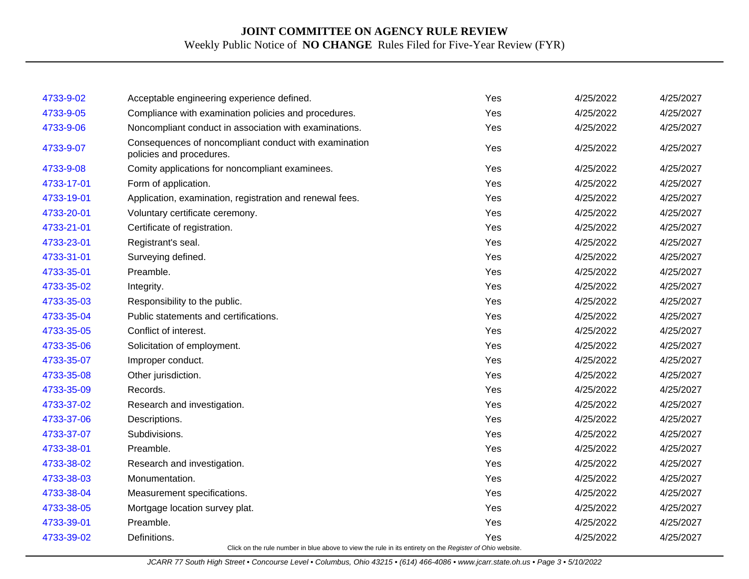| 4733-9-02  |                                                                                                          | Yes | 4/25/2022 | 4/25/2027 |
|------------|----------------------------------------------------------------------------------------------------------|-----|-----------|-----------|
|            | Acceptable engineering experience defined.                                                               |     |           |           |
| 4733-9-05  | Compliance with examination policies and procedures.                                                     | Yes | 4/25/2022 | 4/25/2027 |
| 4733-9-06  | Noncompliant conduct in association with examinations.                                                   | Yes | 4/25/2022 | 4/25/2027 |
| 4733-9-07  | Consequences of noncompliant conduct with examination<br>policies and procedures.                        | Yes | 4/25/2022 | 4/25/2027 |
| 4733-9-08  | Comity applications for noncompliant examinees.                                                          | Yes | 4/25/2022 | 4/25/2027 |
| 4733-17-01 | Form of application.                                                                                     | Yes | 4/25/2022 | 4/25/2027 |
| 4733-19-01 | Application, examination, registration and renewal fees.                                                 | Yes | 4/25/2022 | 4/25/2027 |
| 4733-20-01 | Voluntary certificate ceremony.                                                                          | Yes | 4/25/2022 | 4/25/2027 |
| 4733-21-01 | Certificate of registration.                                                                             | Yes | 4/25/2022 | 4/25/2027 |
| 4733-23-01 | Registrant's seal.                                                                                       | Yes | 4/25/2022 | 4/25/2027 |
| 4733-31-01 | Surveying defined.                                                                                       | Yes | 4/25/2022 | 4/25/2027 |
| 4733-35-01 | Preamble.                                                                                                | Yes | 4/25/2022 | 4/25/2027 |
| 4733-35-02 | Integrity.                                                                                               | Yes | 4/25/2022 | 4/25/2027 |
| 4733-35-03 | Responsibility to the public.                                                                            | Yes | 4/25/2022 | 4/25/2027 |
| 4733-35-04 | Public statements and certifications.                                                                    | Yes | 4/25/2022 | 4/25/2027 |
| 4733-35-05 | Conflict of interest.                                                                                    | Yes | 4/25/2022 | 4/25/2027 |
| 4733-35-06 | Solicitation of employment.                                                                              | Yes | 4/25/2022 | 4/25/2027 |
| 4733-35-07 | Improper conduct.                                                                                        | Yes | 4/25/2022 | 4/25/2027 |
| 4733-35-08 | Other jurisdiction.                                                                                      | Yes | 4/25/2022 | 4/25/2027 |
| 4733-35-09 | Records.                                                                                                 | Yes | 4/25/2022 | 4/25/2027 |
| 4733-37-02 | Research and investigation.                                                                              | Yes | 4/25/2022 | 4/25/2027 |
| 4733-37-06 | Descriptions.                                                                                            | Yes | 4/25/2022 | 4/25/2027 |
| 4733-37-07 | Subdivisions.                                                                                            | Yes | 4/25/2022 | 4/25/2027 |
| 4733-38-01 | Preamble.                                                                                                | Yes | 4/25/2022 | 4/25/2027 |
| 4733-38-02 | Research and investigation.                                                                              | Yes | 4/25/2022 | 4/25/2027 |
| 4733-38-03 | Monumentation.                                                                                           | Yes | 4/25/2022 | 4/25/2027 |
| 4733-38-04 | Measurement specifications.                                                                              | Yes | 4/25/2022 | 4/25/2027 |
| 4733-38-05 | Mortgage location survey plat.                                                                           | Yes | 4/25/2022 | 4/25/2027 |
| 4733-39-01 | Preamble.                                                                                                | Yes | 4/25/2022 | 4/25/2027 |
| 4733-39-02 | Definitions.                                                                                             | Yes | 4/25/2022 | 4/25/2027 |
|            | Click on the rule number in blue above to view the rule in its entirety on the Register of Ohio website. |     |           |           |

JCARR 77 South High Street • Concourse Level • Columbus, Ohio 43215 • (614) 466-4086 • www.jcarr.state.oh.us • Page 3 • 5/10/2022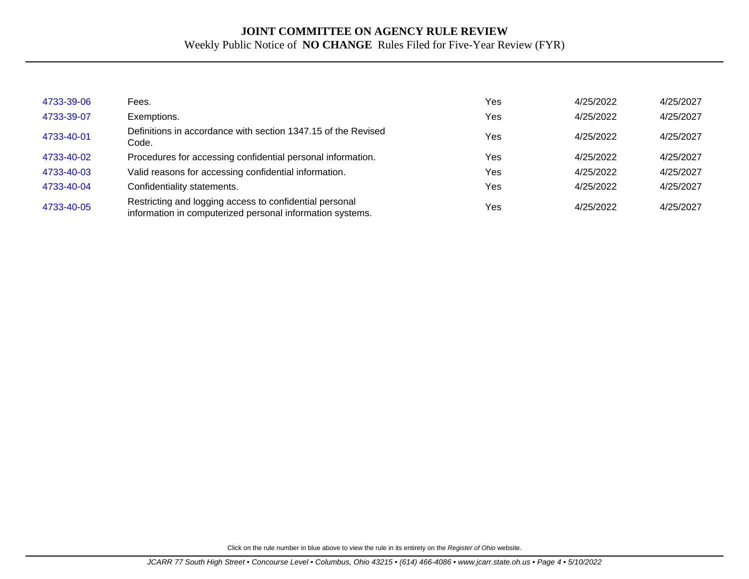| 4733-39-06 | Fees.                                                                                                                | Yes | 4/25/2022 | 4/25/2027 |
|------------|----------------------------------------------------------------------------------------------------------------------|-----|-----------|-----------|
| 4733-39-07 | Exemptions.                                                                                                          | Yes | 4/25/2022 | 4/25/2027 |
| 4733-40-01 | Definitions in accordance with section 1347.15 of the Revised<br>Code.                                               | Yes | 4/25/2022 | 4/25/2027 |
| 4733-40-02 | Procedures for accessing confidential personal information.                                                          | Yes | 4/25/2022 | 4/25/2027 |
| 4733-40-03 | Valid reasons for accessing confidential information.                                                                | Yes | 4/25/2022 | 4/25/2027 |
| 4733-40-04 | Confidentiality statements.                                                                                          | Yes | 4/25/2022 | 4/25/2027 |
| 4733-40-05 | Restricting and logging access to confidential personal<br>information in computerized personal information systems. | Yes | 4/25/2022 | 4/25/2027 |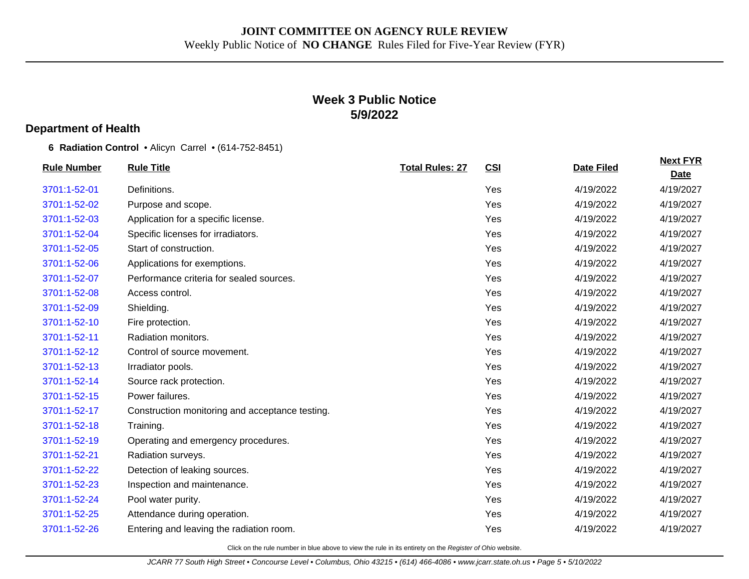## **Week 3 Public Notice 5/9/2022**

#### **Department of Health**

**6 Radiation Control** • Alicyn Carrel • (614-752-8451)

| <b>Rule Number</b> | <b>Rule Title</b>                               | <b>Total Rules: 27</b> | CSI | <b>Date Filed</b> | <b>Next FYR</b><br><b>Date</b> |
|--------------------|-------------------------------------------------|------------------------|-----|-------------------|--------------------------------|
| 3701:1-52-01       | Definitions.                                    |                        | Yes | 4/19/2022         | 4/19/2027                      |
| 3701:1-52-02       | Purpose and scope.                              |                        | Yes | 4/19/2022         | 4/19/2027                      |
| 3701:1-52-03       | Application for a specific license.             |                        | Yes | 4/19/2022         | 4/19/2027                      |
| 3701:1-52-04       | Specific licenses for irradiators.              |                        | Yes | 4/19/2022         | 4/19/2027                      |
| 3701:1-52-05       | Start of construction.                          |                        | Yes | 4/19/2022         | 4/19/2027                      |
| 3701:1-52-06       | Applications for exemptions.                    |                        | Yes | 4/19/2022         | 4/19/2027                      |
| 3701:1-52-07       | Performance criteria for sealed sources.        |                        | Yes | 4/19/2022         | 4/19/2027                      |
| 3701:1-52-08       | Access control.                                 |                        | Yes | 4/19/2022         | 4/19/2027                      |
| 3701:1-52-09       | Shielding.                                      |                        | Yes | 4/19/2022         | 4/19/2027                      |
| 3701:1-52-10       | Fire protection.                                |                        | Yes | 4/19/2022         | 4/19/2027                      |
| 3701:1-52-11       | Radiation monitors.                             |                        | Yes | 4/19/2022         | 4/19/2027                      |
| 3701:1-52-12       | Control of source movement.                     |                        | Yes | 4/19/2022         | 4/19/2027                      |
| 3701:1-52-13       | Irradiator pools.                               |                        | Yes | 4/19/2022         | 4/19/2027                      |
| 3701:1-52-14       | Source rack protection.                         |                        | Yes | 4/19/2022         | 4/19/2027                      |
| 3701:1-52-15       | Power failures.                                 |                        | Yes | 4/19/2022         | 4/19/2027                      |
| 3701:1-52-17       | Construction monitoring and acceptance testing. |                        | Yes | 4/19/2022         | 4/19/2027                      |
| 3701:1-52-18       | Training.                                       |                        | Yes | 4/19/2022         | 4/19/2027                      |
| 3701:1-52-19       | Operating and emergency procedures.             |                        | Yes | 4/19/2022         | 4/19/2027                      |
| 3701:1-52-21       | Radiation surveys.                              |                        | Yes | 4/19/2022         | 4/19/2027                      |
| 3701:1-52-22       | Detection of leaking sources.                   |                        | Yes | 4/19/2022         | 4/19/2027                      |
| 3701:1-52-23       | Inspection and maintenance.                     |                        | Yes | 4/19/2022         | 4/19/2027                      |
| 3701:1-52-24       | Pool water purity.                              |                        | Yes | 4/19/2022         | 4/19/2027                      |
| 3701:1-52-25       | Attendance during operation.                    |                        | Yes | 4/19/2022         | 4/19/2027                      |
| 3701:1-52-26       | Entering and leaving the radiation room.        |                        | Yes | 4/19/2022         | 4/19/2027                      |
|                    |                                                 |                        |     |                   |                                |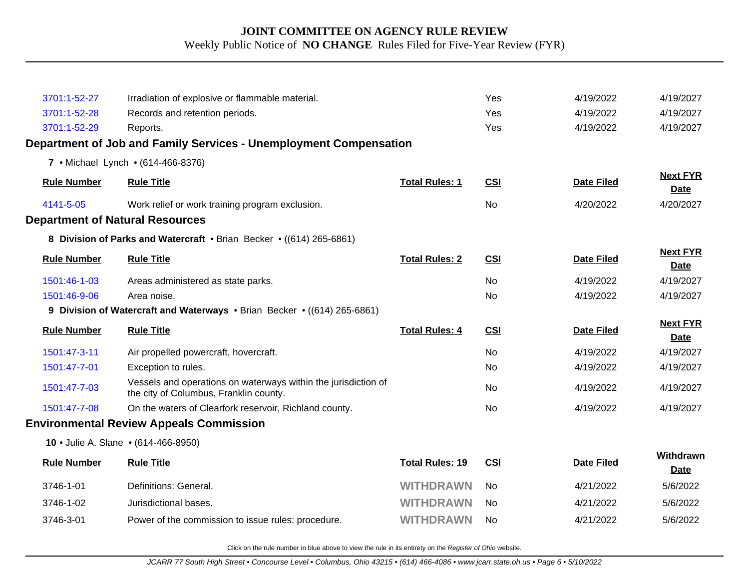| 3701:1-52-27                           | Irradiation of explosive or flammable material.                                                          |                        | Yes            | 4/19/2022         | 4/19/2027                      |
|----------------------------------------|----------------------------------------------------------------------------------------------------------|------------------------|----------------|-------------------|--------------------------------|
| 3701:1-52-28                           | Records and retention periods.                                                                           |                        | Yes            | 4/19/2022         | 4/19/2027                      |
| 3701:1-52-29                           | Reports.                                                                                                 |                        | Yes            | 4/19/2022         | 4/19/2027                      |
|                                        | Department of Job and Family Services - Unemployment Compensation                                        |                        |                |                   |                                |
|                                        | 7 • Michael Lynch • (614-466-8376)                                                                       |                        |                |                   |                                |
| <b>Rule Number</b>                     | <b>Rule Title</b>                                                                                        | <b>Total Rules: 1</b>  | <b>CSI</b>     | <b>Date Filed</b> | <b>Next FYR</b><br><b>Date</b> |
| 4141-5-05                              | Work relief or work training program exclusion.                                                          |                        | <b>No</b>      | 4/20/2022         | 4/20/2027                      |
| <b>Department of Natural Resources</b> |                                                                                                          |                        |                |                   |                                |
|                                        | 8 Division of Parks and Watercraft • Brian Becker • ((614) 265-6861)                                     |                        |                |                   |                                |
| <b>Rule Number</b>                     | <b>Rule Title</b>                                                                                        | <b>Total Rules: 2</b>  | <b>CSI</b>     | <b>Date Filed</b> | <b>Next FYR</b><br><b>Date</b> |
| 1501:46-1-03                           | Areas administered as state parks.                                                                       |                        | <b>No</b>      | 4/19/2022         | 4/19/2027                      |
| 1501:46-9-06                           | Area noise.                                                                                              |                        | <b>No</b>      | 4/19/2022         | 4/19/2027                      |
|                                        | 9 Division of Watercraft and Waterways • Brian Becker • ((614) 265-6861)                                 |                        |                |                   |                                |
| <b>Rule Number</b>                     | <b>Rule Title</b>                                                                                        | <b>Total Rules: 4</b>  | <b>CSI</b>     | <b>Date Filed</b> | <b>Next FYR</b><br><b>Date</b> |
| 1501:47-3-11                           | Air propelled powercraft, hovercraft.                                                                    |                        | <b>No</b>      | 4/19/2022         | 4/19/2027                      |
| 1501:47-7-01                           | Exception to rules.                                                                                      |                        | No             | 4/19/2022         | 4/19/2027                      |
| 1501:47-7-03                           | Vessels and operations on waterways within the jurisdiction of<br>the city of Columbus, Franklin county. |                        | <b>No</b>      | 4/19/2022         | 4/19/2027                      |
| 1501:47-7-08                           | On the waters of Clearfork reservoir, Richland county.                                                   |                        | <b>No</b>      | 4/19/2022         | 4/19/2027                      |
|                                        | <b>Environmental Review Appeals Commission</b>                                                           |                        |                |                   |                                |
|                                        | 10 • Julie A. Slane • (614-466-8950)                                                                     |                        |                |                   |                                |
| <b>Rule Number</b>                     | <b>Rule Title</b>                                                                                        | <b>Total Rules: 19</b> | <b>CSI</b>     | <b>Date Filed</b> | Withdrawn<br><b>Date</b>       |
| 3746-1-01                              | Definitions: General.                                                                                    | <b>WITHDRAWN</b>       | No.            | 4/21/2022         | 5/6/2022                       |
| 3746-1-02                              | Jurisdictional bases.                                                                                    | <b>WITHDRAWN</b>       | No.            | 4/21/2022         | 5/6/2022                       |
| 3746-3-01                              | Power of the commission to issue rules: procedure.                                                       | <b>WITHDRAWN</b>       | N <sub>0</sub> | 4/21/2022         | 5/6/2022                       |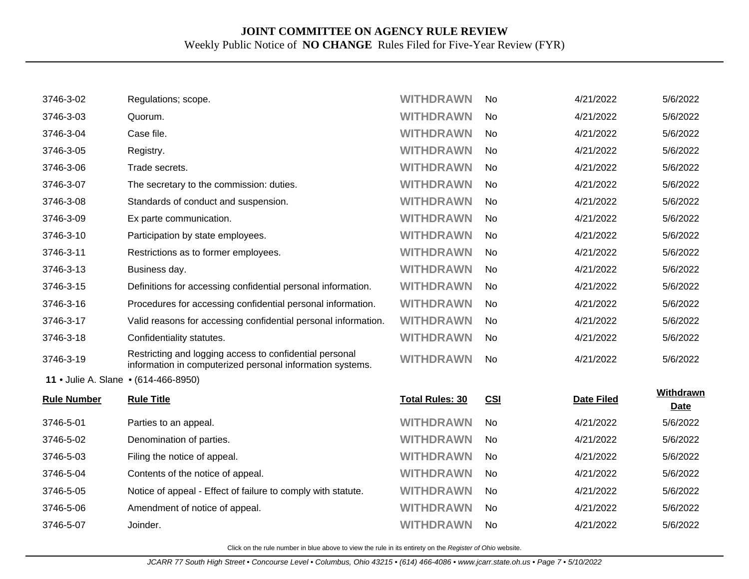| 3746-3-02                            | Regulations; scope.                                                                                                  | <b>WITHDRAWN</b>       | No         | 4/21/2022         | 5/6/2022          |
|--------------------------------------|----------------------------------------------------------------------------------------------------------------------|------------------------|------------|-------------------|-------------------|
| 3746-3-03                            | Quorum.                                                                                                              | <b>WITHDRAWN</b>       | <b>No</b>  | 4/21/2022         | 5/6/2022          |
| 3746-3-04                            | Case file.                                                                                                           | <b>WITHDRAWN</b>       | <b>No</b>  | 4/21/2022         | 5/6/2022          |
| 3746-3-05                            | Registry.                                                                                                            | <b>WITHDRAWN</b>       | No         | 4/21/2022         | 5/6/2022          |
| 3746-3-06                            | Trade secrets.                                                                                                       | <b>WITHDRAWN</b>       | No         | 4/21/2022         | 5/6/2022          |
| 3746-3-07                            | The secretary to the commission: duties.                                                                             | <b>WITHDRAWN</b>       | No         | 4/21/2022         | 5/6/2022          |
| 3746-3-08                            | Standards of conduct and suspension.                                                                                 | <b>WITHDRAWN</b>       | No         | 4/21/2022         | 5/6/2022          |
| 3746-3-09                            | Ex parte communication.                                                                                              | <b>WITHDRAWN</b>       | No         | 4/21/2022         | 5/6/2022          |
| 3746-3-10                            | Participation by state employees.                                                                                    | <b>WITHDRAWN</b>       | No         | 4/21/2022         | 5/6/2022          |
| 3746-3-11                            | Restrictions as to former employees.                                                                                 | <b>WITHDRAWN</b>       | No         | 4/21/2022         | 5/6/2022          |
| 3746-3-13                            | Business day.                                                                                                        | <b>WITHDRAWN</b>       | <b>No</b>  | 4/21/2022         | 5/6/2022          |
| 3746-3-15                            | Definitions for accessing confidential personal information.                                                         | <b>WITHDRAWN</b>       | No         | 4/21/2022         | 5/6/2022          |
| 3746-3-16                            | Procedures for accessing confidential personal information.                                                          | <b>WITHDRAWN</b>       | <b>No</b>  | 4/21/2022         | 5/6/2022          |
| 3746-3-17                            | Valid reasons for accessing confidential personal information.                                                       | <b>WITHDRAWN</b>       | No         | 4/21/2022         | 5/6/2022          |
| 3746-3-18                            | Confidentiality statutes.                                                                                            | <b>WITHDRAWN</b>       | No         | 4/21/2022         | 5/6/2022          |
| 3746-3-19                            | Restricting and logging access to confidential personal<br>information in computerized personal information systems. | <b>WITHDRAWN</b>       | <b>No</b>  | 4/21/2022         | 5/6/2022          |
| 11 • Julie A. Slane • (614-466-8950) |                                                                                                                      |                        |            |                   |                   |
| <b>Rule Number</b>                   | <b>Rule Title</b>                                                                                                    | <b>Total Rules: 30</b> | <b>CSI</b> | <b>Date Filed</b> | Withdrawn<br>Date |
| 3746-5-01                            | Parties to an appeal.                                                                                                | <b>WITHDRAWN</b>       | <b>No</b>  | 4/21/2022         | 5/6/2022          |
| 3746-5-02                            | Denomination of parties.                                                                                             | <b>WITHDRAWN</b>       | No         | 4/21/2022         | 5/6/2022          |
| 3746-5-03                            | Filing the notice of appeal.                                                                                         | <b>WITHDRAWN</b>       | <b>No</b>  | 4/21/2022         | 5/6/2022          |
| 3746-5-04                            | Contents of the notice of appeal.                                                                                    | <b>WITHDRAWN</b>       | No         | 4/21/2022         | 5/6/2022          |
| 3746-5-05                            | Notice of appeal - Effect of failure to comply with statute.                                                         | <b>WITHDRAWN</b>       | No         | 4/21/2022         | 5/6/2022          |
| 3746-5-06                            | Amendment of notice of appeal.                                                                                       | <b>WITHDRAWN</b>       | No         | 4/21/2022         | 5/6/2022          |
| 3746-5-07                            | Joinder.                                                                                                             | <b>WITHDRAWN</b>       | No         | 4/21/2022         | 5/6/2022          |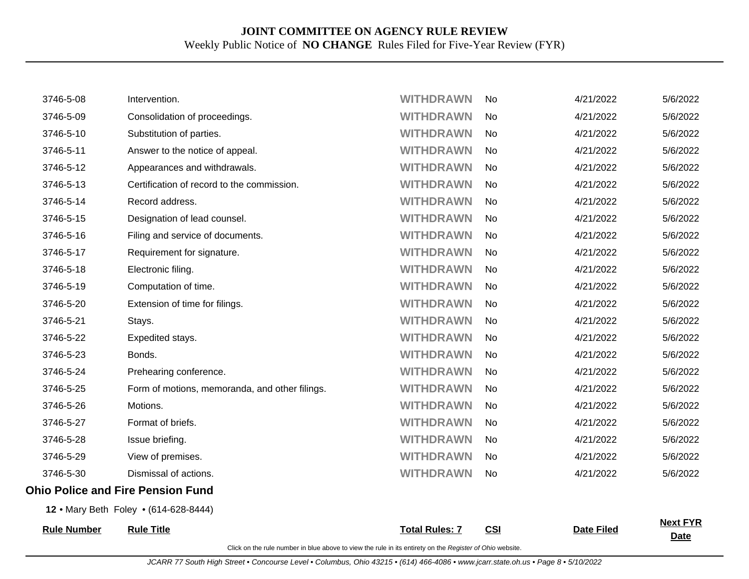| <b>Rule Number</b> | <b>Rule Title</b>                              | <b>Total Rules: 7</b> | CSI       | <b>Date Filed</b> | <b>Date</b>     |
|--------------------|------------------------------------------------|-----------------------|-----------|-------------------|-----------------|
|                    | 12 . Mary Beth Foley . (614-628-8444)          |                       |           |                   | <b>Next FYR</b> |
|                    | <b>Ohio Police and Fire Pension Fund</b>       |                       |           |                   |                 |
| 3746-5-30          | Dismissal of actions.                          | <b>WITHDRAWN</b>      | No.       | 4/21/2022         | 5/6/2022        |
| 3746-5-29          | View of premises.                              | <b>WITHDRAWN</b>      | No        | 4/21/2022         | 5/6/2022        |
| 3746-5-28          | Issue briefing.                                | <b>WITHDRAWN</b>      | No        | 4/21/2022         | 5/6/2022        |
| 3746-5-27          | Format of briefs.                              | <b>WITHDRAWN</b>      | No.       | 4/21/2022         | 5/6/2022        |
| 3746-5-26          | Motions.                                       | <b>WITHDRAWN</b>      | <b>No</b> | 4/21/2022         | 5/6/2022        |
| 3746-5-25          | Form of motions, memoranda, and other filings. | <b>WITHDRAWN</b>      | No.       | 4/21/2022         | 5/6/2022        |
| 3746-5-24          | Prehearing conference.                         | <b>WITHDRAWN</b>      | <b>No</b> | 4/21/2022         | 5/6/2022        |
| 3746-5-23          | Bonds.                                         | <b>WITHDRAWN</b>      | No.       | 4/21/2022         | 5/6/2022        |
| 3746-5-22          | Expedited stays.                               | <b>WITHDRAWN</b>      | <b>No</b> | 4/21/2022         | 5/6/2022        |
| 3746-5-21          | Stays.                                         | <b>WITHDRAWN</b>      | No        | 4/21/2022         | 5/6/2022        |
| 3746-5-20          | Extension of time for filings.                 | <b>WITHDRAWN</b>      | No.       | 4/21/2022         | 5/6/2022        |
| 3746-5-19          | Computation of time.                           | <b>WITHDRAWN</b>      | No        | 4/21/2022         | 5/6/2022        |
| 3746-5-18          | Electronic filing.                             | <b>WITHDRAWN</b>      | No.       | 4/21/2022         | 5/6/2022        |
| 3746-5-17          | Requirement for signature.                     | <b>WITHDRAWN</b>      | No.       | 4/21/2022         | 5/6/2022        |
| 3746-5-16          | Filing and service of documents.               | <b>WITHDRAWN</b>      | <b>No</b> | 4/21/2022         | 5/6/2022        |
| 3746-5-15          | Designation of lead counsel.                   | <b>WITHDRAWN</b>      | No.       | 4/21/2022         | 5/6/2022        |
| 3746-5-14          | Record address.                                | <b>WITHDRAWN</b>      | <b>No</b> | 4/21/2022         | 5/6/2022        |
| 3746-5-13          | Certification of record to the commission.     | <b>WITHDRAWN</b>      | No        | 4/21/2022         | 5/6/2022        |
| 3746-5-12          | Appearances and withdrawals.                   | <b>WITHDRAWN</b>      | No.       | 4/21/2022         | 5/6/2022        |
| 3746-5-11          | Answer to the notice of appeal.                | <b>WITHDRAWN</b>      | No        | 4/21/2022         | 5/6/2022        |
| 3746-5-10          | Substitution of parties.                       | <b>WITHDRAWN</b>      | No.       | 4/21/2022         | 5/6/2022        |
| 3746-5-09          | Consolidation of proceedings.                  | <b>WITHDRAWN</b>      | No.       | 4/21/2022         | 5/6/2022        |
| 3746-5-08          | Intervention.                                  | <b>WITHDRAWN</b>      | No.       | 4/21/2022         | 5/6/2022        |
|                    |                                                |                       |           |                   |                 |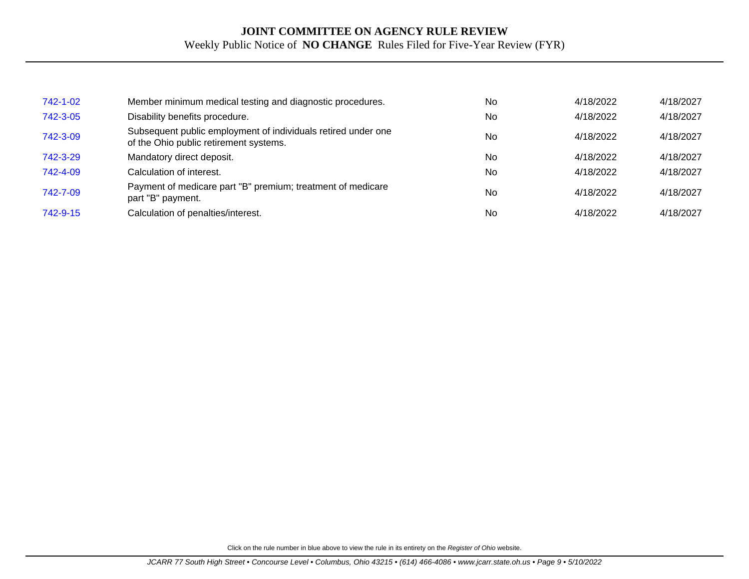| 742-1-02 | Member minimum medical testing and diagnostic procedures.                                               | No        | 4/18/2022 | 4/18/2027 |
|----------|---------------------------------------------------------------------------------------------------------|-----------|-----------|-----------|
| 742-3-05 | Disability benefits procedure.                                                                          | No        | 4/18/2022 | 4/18/2027 |
| 742-3-09 | Subsequent public employment of individuals retired under one<br>of the Ohio public retirement systems. | No        | 4/18/2022 | 4/18/2027 |
| 742-3-29 | Mandatory direct deposit.                                                                               | No        | 4/18/2022 | 4/18/2027 |
| 742-4-09 | Calculation of interest.                                                                                | No        | 4/18/2022 | 4/18/2027 |
| 742-7-09 | Payment of medicare part "B" premium; treatment of medicare<br>part "B" payment.                        | <b>No</b> | 4/18/2022 | 4/18/2027 |
| 742-9-15 | Calculation of penalties/interest.                                                                      | <b>No</b> | 4/18/2022 | 4/18/2027 |